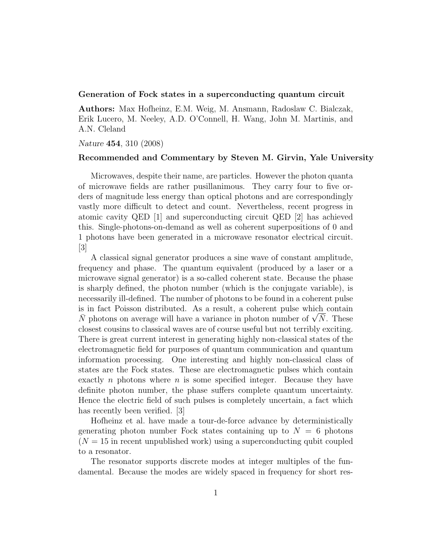## Generation of Fock states in a superconducting quantum circuit

Authors: Max Hofheinz, E.M. Weig, M. Ansmann, Radoslaw C. Bialczak, Erik Lucero, M. Neeley, A.D. O'Connell, H. Wang, John M. Martinis, and A.N. Cleland

Nature 454, 310 (2008)

## Recommended and Commentary by Steven M. Girvin, Yale University

Microwaves, despite their name, are particles. However the photon quanta of microwave fields are rather pusillanimous. They carry four to five orders of magnitude less energy than optical photons and are correspondingly vastly more difficult to detect and count. Nevertheless, recent progress in atomic cavity QED [1] and superconducting circuit QED [2] has achieved this. Single-photons-on-demand as well as coherent superpositions of 0 and 1 photons have been generated in a microwave resonator electrical circuit.  $|3|$ 

A classical signal generator produces a sine wave of constant amplitude, frequency and phase. The quantum equivalent (produced by a laser or a microwave signal generator) is a so-called coherent state. Because the phase is sharply defined, the photon number (which is the conjugate variable), is necessarily ill-defined. The number of photons to be found in a coherent pulse is in fact Poisson distributed. As a result, a coherent pulse which contain is in fact Poisson distributed. As a result, a coherent pulse which contain  $\bar{N}$  photons on average will have a variance in photon number of  $\sqrt{\bar{N}}$ . These closest cousins to classical waves are of course useful but not terribly exciting. There is great current interest in generating highly non-classical states of the electromagnetic field for purposes of quantum communication and quantum information processing. One interesting and highly non-classical class of states are the Fock states. These are electromagnetic pulses which contain exactly n photons where  $n$  is some specified integer. Because they have definite photon number, the phase suffers complete quantum uncertainty. Hence the electric field of such pulses is completely uncertain, a fact which has recently been verified. [3]

Hofheinz et al. have made a tour-de-force advance by deterministically generating photon number Fock states containing up to  $N = 6$  photons  $(N = 15$  in recent unpublished work) using a superconducting qubit coupled to a resonator.

The resonator supports discrete modes at integer multiples of the fundamental. Because the modes are widely spaced in frequency for short res